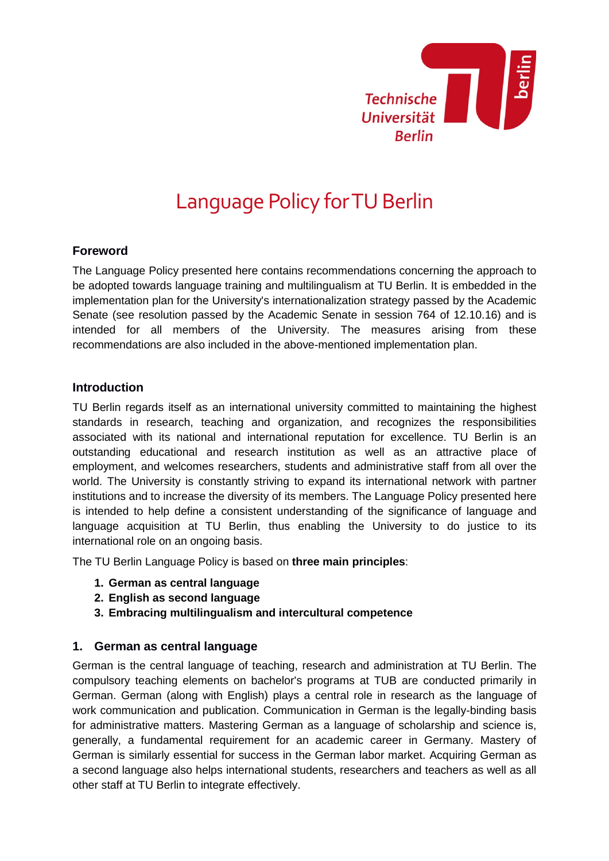

# Language Policy for TU Berlin

# **Foreword**

The Language Policy presented here contains recommendations concerning the approach to be adopted towards language training and multilingualism at TU Berlin. It is embedded in the implementation plan for the University's internationalization strategy passed by the Academic Senate (see resolution passed by the Academic Senate in session 764 of 12.10.16) and is intended for all members of the University. The measures arising from these recommendations are also included in the above-mentioned implementation plan.

### **Introduction**

TU Berlin regards itself as an international university committed to maintaining the highest standards in research, teaching and organization, and recognizes the responsibilities associated with its national and international reputation for excellence. TU Berlin is an outstanding educational and research institution as well as an attractive place of employment, and welcomes researchers, students and administrative staff from all over the world. The University is constantly striving to expand its international network with partner institutions and to increase the diversity of its members. The Language Policy presented here is intended to help define a consistent understanding of the significance of language and language acquisition at TU Berlin, thus enabling the University to do justice to its international role on an ongoing basis.

The TU Berlin Language Policy is based on **three main principles**:

- **1. German as central language**
- **2. English as second language**
- **3. Embracing multilingualism and intercultural competence**

### **1. German as central language**

German is the central language of teaching, research and administration at TU Berlin. The compulsory teaching elements on bachelor's programs at TUB are conducted primarily in German. German (along with English) plays a central role in research as the language of work communication and publication. Communication in German is the legally-binding basis for administrative matters. Mastering German as a language of scholarship and science is, generally, a fundamental requirement for an academic career in Germany. Mastery of German is similarly essential for success in the German labor market. Acquiring German as a second language also helps international students, researchers and teachers as well as all other staff at TU Berlin to integrate effectively.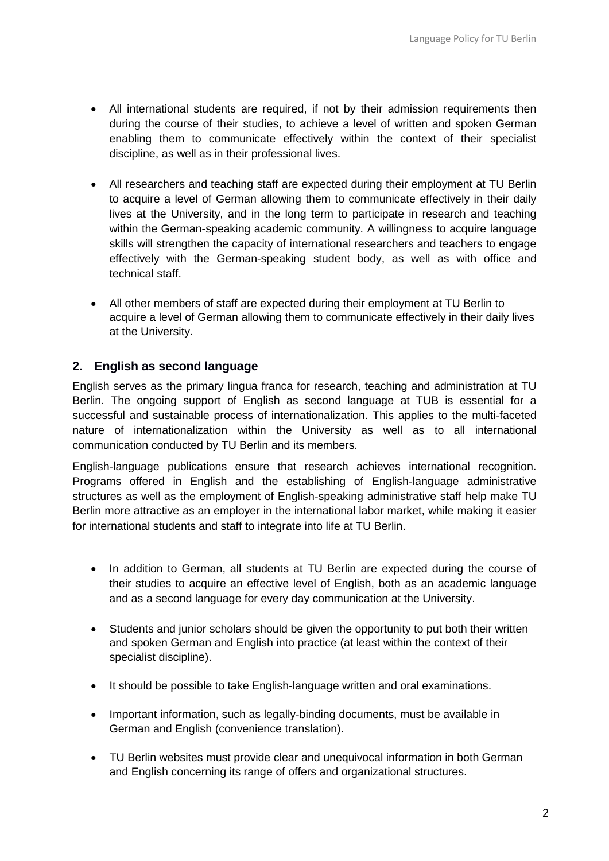- All international students are required, if not by their admission requirements then during the course of their studies, to achieve a level of written and spoken German enabling them to communicate effectively within the context of their specialist discipline, as well as in their professional lives.
- All researchers and teaching staff are expected during their employment at TU Berlin to acquire a level of German allowing them to communicate effectively in their daily lives at the University, and in the long term to participate in research and teaching within the German-speaking academic community. A willingness to acquire language skills will strengthen the capacity of international researchers and teachers to engage effectively with the German-speaking student body, as well as with office and technical staff.
- All other members of staff are expected during their employment at TU Berlin to acquire a level of German allowing them to communicate effectively in their daily lives at the University.

# **2. English as second language**

English serves as the primary lingua franca for research, teaching and administration at TU Berlin. The ongoing support of English as second language at TUB is essential for a successful and sustainable process of internationalization. This applies to the multi-faceted nature of internationalization within the University as well as to all international communication conducted by TU Berlin and its members.

English-language publications ensure that research achieves international recognition. Programs offered in English and the establishing of English-language administrative structures as well as the employment of English-speaking administrative staff help make TU Berlin more attractive as an employer in the international labor market, while making it easier for international students and staff to integrate into life at TU Berlin.

- In addition to German, all students at TU Berlin are expected during the course of their studies to acquire an effective level of English, both as an academic language and as a second language for every day communication at the University.
- Students and junior scholars should be given the opportunity to put both their written and spoken German and English into practice (at least within the context of their specialist discipline).
- It should be possible to take English-language written and oral examinations.
- Important information, such as legally-binding documents, must be available in German and English (convenience translation).
- TU Berlin websites must provide clear and unequivocal information in both German and English concerning its range of offers and organizational structures.